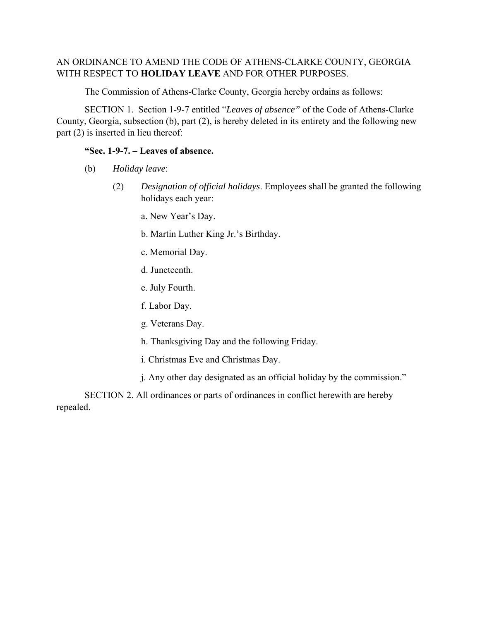# AN ORDINANCE TO AMEND THE CODE OF ATHENS-CLARKE COUNTY, GEORGIA WITH RESPECT TO **HOLIDAY LEAVE** AND FOR OTHER PURPOSES.

The Commission of Athens-Clarke County, Georgia hereby ordains as follows:

 SECTION 1. Section 1-9-7 entitled "*Leaves of absence"* of the Code of Athens-Clarke County, Georgia, subsection (b), part (2), is hereby deleted in its entirety and the following new part (2) is inserted in lieu thereof:

## **"Sec. 1-9-7. – Leaves of absence.**

- (b) *Holiday leave*:
	- (2) *Designation of official holidays*. Employees shall be granted the following holidays each year:
		- a. New Year's Day.
		- b. Martin Luther King Jr.'s Birthday.
		- c. Memorial Day.
		- d. Juneteenth.
		- e. July Fourth.
		- f. Labor Day.
		- g. Veterans Day.
		- h. Thanksgiving Day and the following Friday.
		- i. Christmas Eve and Christmas Day.
		- j. Any other day designated as an official holiday by the commission."

 SECTION 2. All ordinances or parts of ordinances in conflict herewith are hereby repealed.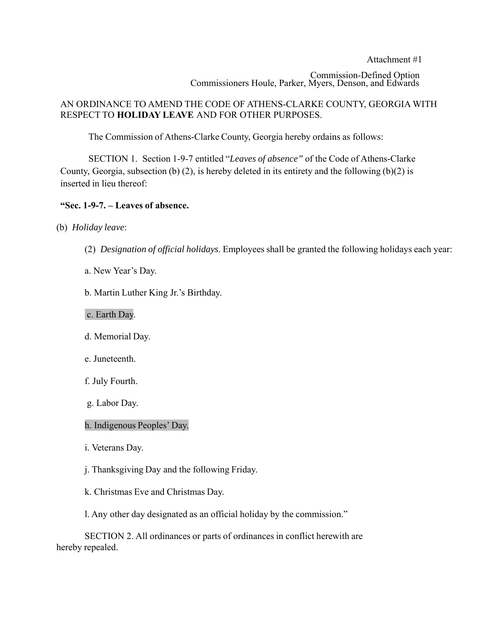Attachment #1 Commission-Defined Option Commissioners Houle, Parker, Myers, Denson, and Edwards

## AN ORDINANCE TO AMEND THE CODE OF ATHENS-CLARKE COUNTY, GEORGIA WITH RESPECT TO **HOLIDAY LEAVE** AND FOR OTHER PURPOSES.

The Commission of Athens-Clarke County, Georgia hereby ordains as follows:

SECTION 1. Section 1-9-7 entitled "*Leaves of absence"* of the Code of Athens-Clarke County, Georgia, subsection (b) (2), is hereby deleted in its entirety and the following (b)(2) is inserted in lieu thereof:

#### **"Sec. 1-9-7. – Leaves of absence.**

- (b) *Holiday leave*:
	- (2) *Designation of official holidays*. Employees shall be granted the following holidays each year:
	- a. New Year's Day.
	- b. Martin Luther King Jr.'s Birthday.
	- c. Earth Day.
	- d. Memorial Day.
	- e. Juneteenth.
	- f. July Fourth.
	- g. Labor Day.

#### h. Indigenous Peoples' Day.

- i. Veterans Day.
- j. Thanksgiving Day and the following Friday.
- k. Christmas Eve and Christmas Day.
- l. Any other day designated as an official holiday by the commission."

SECTION 2. All ordinances or parts of ordinances in conflict herewith are hereby repealed.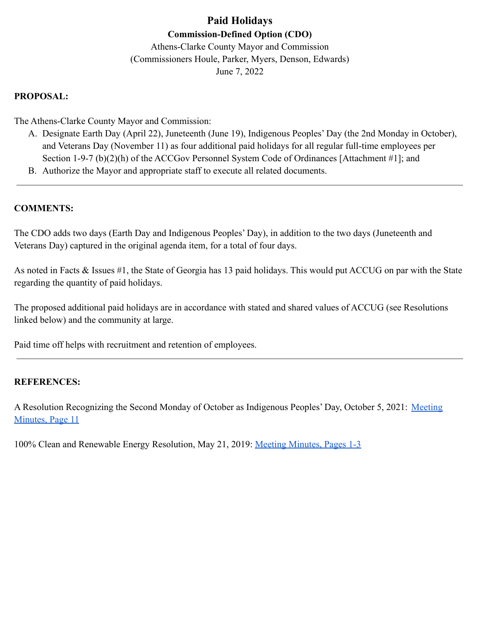# **Paid Holidays Commission-Defined Option (CDO)**

Athens-Clarke County Mayor and Commission (Commissioners Houle, Parker, Myers, Denson, Edwards) June 7, 2022

# **PROPOSAL:**

The Athens-Clarke County Mayor and Commission:

- A. Designate Earth Day (April 22), Juneteenth (June 19), Indigenous Peoples' Day (the 2nd Monday in October), and Veterans Day (November 11) as four additional paid holidays for all regular full-time employees per Section 1-9-7 (b)(2)(h) of the ACCGov Personnel System Code of Ordinances [Attachment #1]; and
- B. Authorize the Mayor and appropriate staff to execute all related documents.

# **COMMENTS:**

The CDO adds two days (Earth Day and Indigenous Peoples' Day), in addition to the two days (Juneteenth and Veterans Day) captured in the original agenda item, for a total of four days.

As noted in Facts & Issues #1, the State of Georgia has 13 paid holidays. This would put ACCUG on par with the State regarding the quantity of paid holidays.

The proposed additional paid holidays are in accordance with stated and shared values of ACCUG (see Resolutions linked below) and the community at large.

Paid time off helps with recruitment and retention of employees.

# **REFERENCES:**

A Resolution Recognizing the Second Monday of October as Indigenous Peoples' Day, October 5, 2021: [Meeting](https://www.accgov.com/agendacenter/viewfile/minutes/_10052021-1107) [Minutes, Page 11](https://www.accgov.com/agendacenter/viewfile/minutes/_10052021-1107)

100% Clean and Renewable Energy Resolution, May 21, 2019: [Meeting Minutes, Pages 1-3](https://www.accgov.com/DocumentCenter/View/68530/Athens-100-Clean-and-Renewable-Resolution)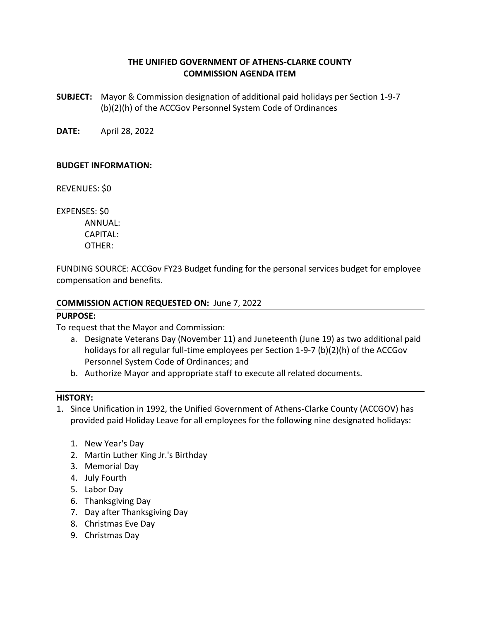# **THE UNIFIED GOVERNMENT OF ATHENS-CLARKE COUNTY COMMISSION AGENDA ITEM**

**SUBJECT:** Mayor & Commission designation of additional paid holidays per Section 1-9-7 (b)(2)(h) of the ACCGov Personnel System Code of Ordinances

**DATE:** April 28, 2022

## **BUDGET INFORMATION:**

REVENUES: \$0

EXPENSES: \$0 ANNUAL: CAPITAL:

OTHER:

FUNDING SOURCE: ACCGov FY23 Budget funding for the personal services budget for employee compensation and benefits.

## **COMMISSION ACTION REQUESTED ON:** June 7, 2022

## **PURPOSE:**

To request that the Mayor and Commission:

- a. Designate Veterans Day (November 11) and Juneteenth (June 19) as two additional paid holidays for all regular full-time employees per Section 1-9-7 (b)(2)(h) of the ACCGov Personnel System Code of Ordinances; and
- b. Authorize Mayor and appropriate staff to execute all related documents.

#### **HISTORY:**

- 1. Since Unification in 1992, the Unified Government of Athens-Clarke County (ACCGOV) has provided paid Holiday Leave for all employees for the following nine designated holidays:
	- 1. New Year's Day
	- 2. Martin Luther King Jr.'s Birthday
	- 3. Memorial Day
	- 4. July Fourth
	- 5. Labor Day
	- 6. Thanksgiving Day
	- 7. Day after Thanksgiving Day
	- 8. Christmas Eve Day
	- 9. Christmas Day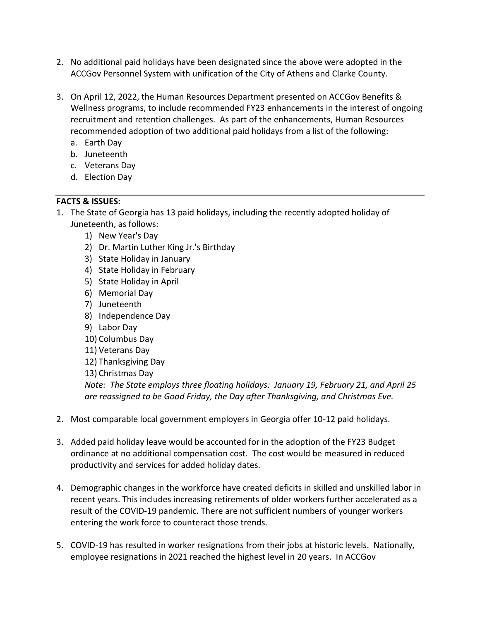- 2. No additional paid holidays have been designated since the above were adopted in the ACCGov Personnel System with unification of the City of Athens and Clarke County.
- 3. On April 12, 2022, the Human Resources Department presented on ACCGov Benefits & Wellness programs, to include recommended FY23 enhancements in the interest of ongoing recruitment and retention challenges. As part of the enhancements, Human Resources recommended adoption of two additional paid holidays from a list of the following:
	- a. Earth Day
	- b. Juneteenth
	- c. Veterans Day
	- d. Election Day

# **FACTS & ISSUES:**

- 1. The State of Georgia has 13 paid holidays, including the recently adopted holiday of Juneteenth, as follows:
	- 1) New Year's Day
	- 2) Dr. Martin Luther King Jr.'s Birthday
	- 3) State Holiday in January
	- 4) State Holiday in February
	- 5) State Holiday in April
	- 6) Memorial Day
	- 7) Juneteenth
	- 8) Independence Day
	- 9) Labor Day
	- 10) Columbus Day
	- 11) Veterans Day
	- 12) Thanksgiving Day
	- 13) Christmas Day

*Note: The State employs three floating holidays: January 19, February 21, and April 25 are reassigned to be Good Friday, the Day after Thanksgiving, and Christmas Eve.*

- 2. Most comparable local government employers in Georgia offer 10-12 paid holidays.
- 3. Added paid holiday leave would be accounted for in the adoption of the FY23 Budget ordinance at no additional compensation cost. The cost would be measured in reduced productivity and services for added holiday dates.
- 4. Demographic changes in the workforce have created deficits in skilled and unskilled labor in recent years. This includes increasing retirements of older workers further accelerated as a result of the COVID-19 pandemic. There are not sufficient numbers of younger workers entering the work force to counteract those trends.
- 5. COVID-19 has resulted in worker resignations from their jobs at historic levels. Nationally, employee resignations in 2021 reached the highest level in 20 years. In ACCGov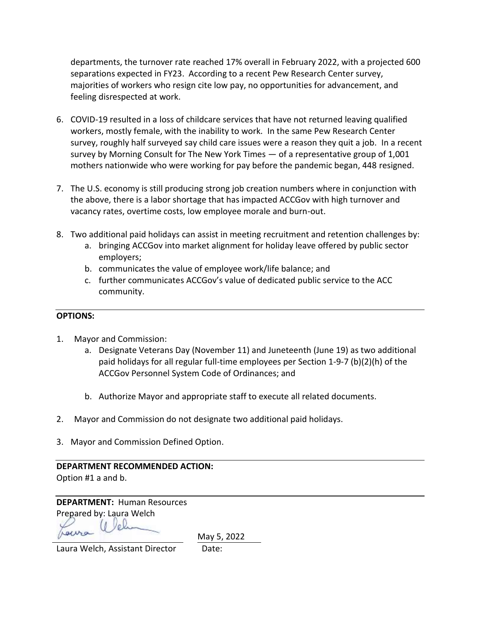departments, the turnover rate reached 17% overall in February 2022, with a projected 600 separations expected in FY23. According to a recent Pew Research Center survey, majorities of workers who resign cite low pay, no opportunities for advancement, and feeling disrespected at work.

- 6. COVID-19 resulted in a loss of childcare services that have not returned leaving qualified workers, mostly female, with the inability to work. In the same Pew Research Center survey, roughly half surveyed say child care issues were a reason they quit a job. In a recent survey by Morning Consult for The New York Times — of a representative group of 1,001 mothers nationwide who were working for pay before the pandemic began, 448 resigned.
- 7. The U.S. economy is still producing strong job creation numbers where in conjunction with the above, there is a labor shortage that has impacted ACCGov with high turnover and vacancy rates, overtime costs, low employee morale and burn-out.
- 8. Two additional paid holidays can assist in meeting recruitment and retention challenges by:
	- a. bringing ACCGov into market alignment for holiday leave offered by public sector employers;
	- b. communicates the value of employee work/life balance; and
	- c. further communicates ACCGov's value of dedicated public service to the ACC community.

# **OPTIONS:**

- 1. Mayor and Commission:
	- a. Designate Veterans Day (November 11) and Juneteenth (June 19) as two additional paid holidays for all regular full-time employees per Section 1-9-7 (b)(2)(h) of the ACCGov Personnel System Code of Ordinances; and
	- b. Authorize Mayor and appropriate staff to execute all related documents.
- 2. Mayor and Commission do not designate two additional paid holidays.
- 3. Mayor and Commission Defined Option.

**DEPARTMENT RECOMMENDED ACTION:** Option #1 a and b.

**DEPARTMENT:** Human Resources Prepared by: Laura Welch

May 5, 2022

Laura Welch, Assistant Director Date: